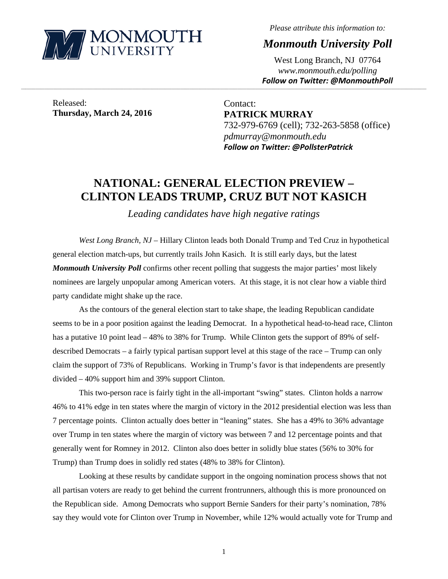

*Please attribute this information to:* 

*Monmouth University Poll* 

West Long Branch, NJ 07764 *www.monmouth.edu/polling Follow on Twitter: @MonmouthPoll*

Released: **Thursday, March 24, 2016** 

Contact: **PATRICK MURRAY**  732-979-6769 (cell); 732-263-5858 (office) *pdmurray@monmouth.edu Follow on Twitter: @PollsterPatrick*

# **NATIONAL: GENERAL ELECTION PREVIEW – CLINTON LEADS TRUMP, CRUZ BUT NOT KASICH**

,一个人的人都是不是,我们的人都是不是,我们的人都是不是,我们的人都是不是,我们的人都是不是,我们的人都是不是,我们的人都是不是,我们的人都是不是,我们的人都是不

*Leading candidates have high negative ratings* 

*West Long Branch, NJ* – Hillary Clinton leads both Donald Trump and Ted Cruz in hypothetical general election match-ups, but currently trails John Kasich. It is still early days, but the latest *Monmouth University Poll* confirms other recent polling that suggests the major parties' most likely nominees are largely unpopular among American voters. At this stage, it is not clear how a viable third party candidate might shake up the race.

 As the contours of the general election start to take shape, the leading Republican candidate seems to be in a poor position against the leading Democrat. In a hypothetical head-to-head race, Clinton has a putative 10 point lead – 48% to 38% for Trump. While Clinton gets the support of 89% of selfdescribed Democrats – a fairly typical partisan support level at this stage of the race – Trump can only claim the support of 73% of Republicans. Working in Trump's favor is that independents are presently divided – 40% support him and 39% support Clinton.

This two-person race is fairly tight in the all-important "swing" states. Clinton holds a narrow 46% to 41% edge in ten states where the margin of victory in the 2012 presidential election was less than 7 percentage points. Clinton actually does better in "leaning" states. She has a 49% to 36% advantage over Trump in ten states where the margin of victory was between 7 and 12 percentage points and that generally went for Romney in 2012. Clinton also does better in solidly blue states (56% to 30% for Trump) than Trump does in solidly red states (48% to 38% for Clinton).

Looking at these results by candidate support in the ongoing nomination process shows that not all partisan voters are ready to get behind the current frontrunners, although this is more pronounced on the Republican side. Among Democrats who support Bernie Sanders for their party's nomination, 78% say they would vote for Clinton over Trump in November, while 12% would actually vote for Trump and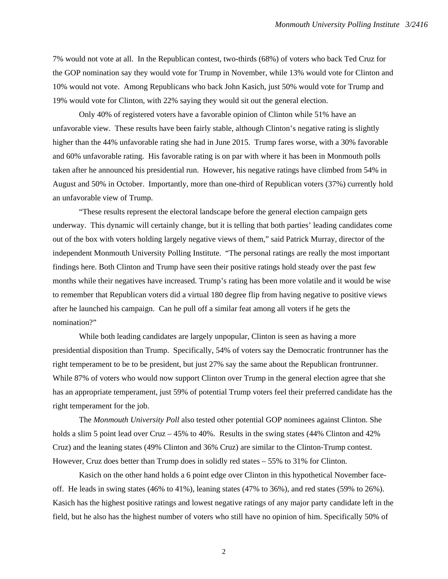7% would not vote at all. In the Republican contest, two-thirds (68%) of voters who back Ted Cruz for the GOP nomination say they would vote for Trump in November, while 13% would vote for Clinton and 10% would not vote. Among Republicans who back John Kasich, just 50% would vote for Trump and 19% would vote for Clinton, with 22% saying they would sit out the general election.

Only 40% of registered voters have a favorable opinion of Clinton while 51% have an unfavorable view. These results have been fairly stable, although Clinton's negative rating is slightly higher than the 44% unfavorable rating she had in June 2015. Trump fares worse, with a 30% favorable and 60% unfavorable rating. His favorable rating is on par with where it has been in Monmouth polls taken after he announced his presidential run. However, his negative ratings have climbed from 54% in August and 50% in October. Importantly, more than one-third of Republican voters (37%) currently hold an unfavorable view of Trump.

 "These results represent the electoral landscape before the general election campaign gets underway. This dynamic will certainly change, but it is telling that both parties' leading candidates come out of the box with voters holding largely negative views of them," said Patrick Murray, director of the independent Monmouth University Polling Institute. "The personal ratings are really the most important findings here. Both Clinton and Trump have seen their positive ratings hold steady over the past few months while their negatives have increased. Trump's rating has been more volatile and it would be wise to remember that Republican voters did a virtual 180 degree flip from having negative to positive views after he launched his campaign. Can he pull off a similar feat among all voters if he gets the nomination?"

 While both leading candidates are largely unpopular, Clinton is seen as having a more presidential disposition than Trump. Specifically, 54% of voters say the Democratic frontrunner has the right temperament to be to be president, but just 27% say the same about the Republican frontrunner. While 87% of voters who would now support Clinton over Trump in the general election agree that she has an appropriate temperament, just 59% of potential Trump voters feel their preferred candidate has the right temperament for the job.

 The *Monmouth University Poll* also tested other potential GOP nominees against Clinton. She holds a slim 5 point lead over Cruz – 45% to 40%. Results in the swing states (44% Clinton and 42% Cruz) and the leaning states (49% Clinton and 36% Cruz) are similar to the Clinton-Trump contest. However, Cruz does better than Trump does in solidly red states – 55% to 31% for Clinton.

Kasich on the other hand holds a 6 point edge over Clinton in this hypothetical November faceoff. He leads in swing states (46% to 41%), leaning states (47% to 36%), and red states (59% to 26%). Kasich has the highest positive ratings and lowest negative ratings of any major party candidate left in the field, but he also has the highest number of voters who still have no opinion of him. Specifically 50% of

2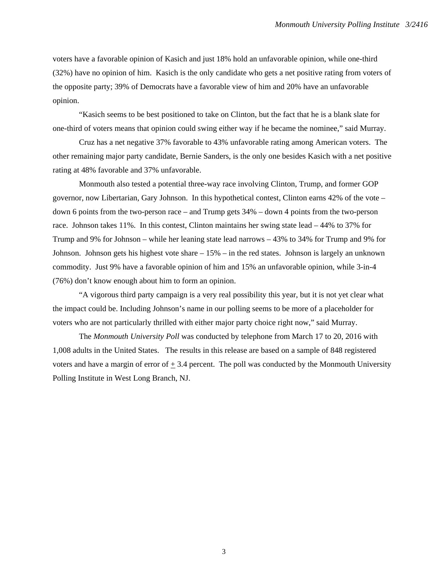voters have a favorable opinion of Kasich and just 18% hold an unfavorable opinion, while one-third (32%) have no opinion of him. Kasich is the only candidate who gets a net positive rating from voters of the opposite party; 39% of Democrats have a favorable view of him and 20% have an unfavorable opinion.

"Kasich seems to be best positioned to take on Clinton, but the fact that he is a blank slate for one-third of voters means that opinion could swing either way if he became the nominee," said Murray.

Cruz has a net negative 37% favorable to 43% unfavorable rating among American voters. The other remaining major party candidate, Bernie Sanders, is the only one besides Kasich with a net positive rating at 48% favorable and 37% unfavorable.

 Monmouth also tested a potential three-way race involving Clinton, Trump, and former GOP governor, now Libertarian, Gary Johnson. In this hypothetical contest, Clinton earns 42% of the vote – down 6 points from the two-person race – and Trump gets 34% – down 4 points from the two-person race. Johnson takes 11%. In this contest, Clinton maintains her swing state lead – 44% to 37% for Trump and 9% for Johnson – while her leaning state lead narrows – 43% to 34% for Trump and 9% for Johnson. Johnson gets his highest vote share – 15% – in the red states. Johnson is largely an unknown commodity. Just 9% have a favorable opinion of him and 15% an unfavorable opinion, while 3-in-4 (76%) don't know enough about him to form an opinion.

 "A vigorous third party campaign is a very real possibility this year, but it is not yet clear what the impact could be. Including Johnson's name in our polling seems to be more of a placeholder for voters who are not particularly thrilled with either major party choice right now," said Murray.

The *Monmouth University Poll* was conducted by telephone from March 17 to 20, 2016 with 1,008 adults in the United States. The results in this release are based on a sample of 848 registered voters and have a margin of error of  $+3.4$  percent. The poll was conducted by the Monmouth University Polling Institute in West Long Branch, NJ.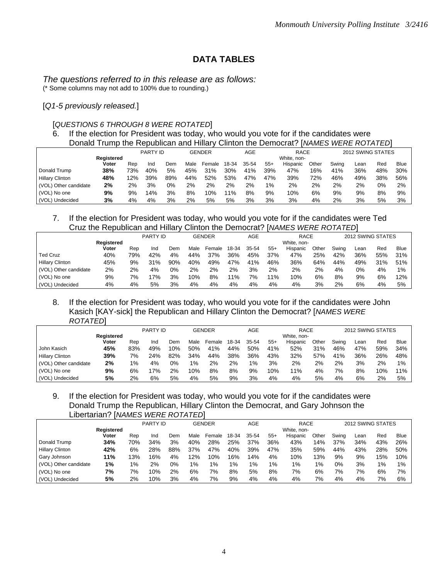# **DATA TABLES**

*The questions referred to in this release are as follows:*  (\* Some columns may not add to 100% due to rounding.)

[*Q1-5 previously released.*]

### [*QUESTIONS 6 THROUGH 8 WERE ROTATED*]

6. If the election for President was today, who would you vote for if the candidates were Donald Trump the Republican and Hillary Clinton the Democrat? [*NAMES WERE ROTATED*]

|                        |                   |     | PARTY ID |     |      | GENDER |       | AGE   |       | <b>RACE</b> |       |       | 2012 SWING STATES |     |             |
|------------------------|-------------------|-----|----------|-----|------|--------|-------|-------|-------|-------------|-------|-------|-------------------|-----|-------------|
|                        | <b>Registered</b> |     |          |     |      |        |       |       |       | White, non- |       |       |                   |     |             |
|                        | Voter             | Rep | Ind      | Dem | Male | Female | 18-34 | 35-54 | $55+$ | Hispanic    | Other | Swina | ∟ean              | Red | <b>Blue</b> |
| Donald Trump           | 38%               | 73% | 40%      | 5%  | 45%  | 31%    | 30%   | 41%   | 39%   | 47%         | 16%   | 41%   | 36%               | 48% | 30%         |
| <b>Hillary Clinton</b> | 48%               | 12% | 39%      | 89% | 44%  | 52%    | 53%   | 47%   | 47%   | 39%         | 72%   | 46%   | 49%               | 38% | 56%         |
| (VOL) Other candidate  | 2%                | 2%  | 3%       | 0%  | 2%   | 2%     | 2%    | 2%    | $1\%$ | 2%          | 2%    | 2%    | 2%                | 0%  | 2%          |
| (VOL) No one           | 9%                | 9%  | 14%      | 3%  | 8%   | 10%    | 11%   | 8%    | 9%    | 10%         | 6%    | 9%    | 9%                | 8%  | 9%          |
| (VOL) Undecided        | 3%                | 4%  | 4%       | 3%  | 2%   | 5%     | 5%    | 3%    | 3%    | 3%          | 4%    | 2%    | 3%                | 5%  | 3%          |

### 7. If the election for President was today, who would you vote for if the candidates were Ted Cruz the Republican and Hillary Clinton the Democrat? [*NAMES WERE ROTATED*]

|                        |                   |     | <b>PARTY ID</b> |     |      | <b>GENDER</b> |       | AGE   |       | <b>RACE</b> |       |       |      | 2012 SWING STATES |             |
|------------------------|-------------------|-----|-----------------|-----|------|---------------|-------|-------|-------|-------------|-------|-------|------|-------------------|-------------|
|                        | <b>Registered</b> |     |                 |     |      |               |       |       |       | White, non- |       |       |      |                   |             |
|                        | Voter             | Rep | Ind             | Dem | Male | Female        | 18-34 | 35-54 | $55+$ | Hispanic    | Other | Swing | Lean | Red               | <b>Blue</b> |
| <b>Ted Cruz</b>        | 40%               | 79% | 42%             | 4%  | 44%  | 37%           | 36%   | 45%   | 37%   | 47%         | 25%   | 42%   | 36%  | 55%               | 31%         |
| <b>Hillary Clinton</b> | 45%               | 9%  | 31%             | 90% | 40%  | 49%           | 47%   | 41%   | 46%   | 36%         | 64%   | 44%   | 49%  | 31%               | 51%         |
| (VOL) Other candidate  | 2%                | 2%  | 4%              | 0%  | 2%   | 2%            | 2%    | 3%    | 2%    | 2%          | 2%    | 4%    | 0%   | 4%                | $1\%$       |
| (VOL) No one           | 9%                | 7%  | 7%              | 3%  | 10%  | 8%            | 11%   | 7%    | 11%   | 10%         | 6%    | 8%    | 9%   | 6%                | 12%         |
| (VOL) Undecided        | 4%                | 4%  | 5%              | 3%  | 4%   | 4%            | 4%    | 4%    | 4%    | 4%          | 3%    | 2%    | 6%   | 4%                | 5%          |

### 8. If the election for President was today, who would you vote for if the candidates were John Kasich [KAY-sick] the Republican and Hillary Clinton the Democrat? [*NAMES WERE ROTATED*]

|                        |            |     | PARTY ID |     |       | <b>GENDER</b> |       | AGE   |       | <b>RACE</b> |       |       | 2012 SWING STATES |     |             |
|------------------------|------------|-----|----------|-----|-------|---------------|-------|-------|-------|-------------|-------|-------|-------------------|-----|-------------|
|                        | Registered |     |          |     |       |               |       |       |       | White, non- |       |       |                   |     |             |
|                        | Voter      | Rep | Ind      | Dem | Male  | Female        | 18-34 | 35-54 | $55+$ | Hispanic    | Other | Swina | ∟ean              | Red | <b>Blue</b> |
| John Kasich            | 45%        | 83% | 49%      | 10% | 50%   | 41%           | 44%   | 50%   | 41%   | 52%         | 31%   | 46%   | 47%               | 59% | 34%         |
| <b>Hillary Clinton</b> | 39%        | 7%  | 24%      | 82% | 34%   | 44%           | 38%   | 36%   | 43%   | 32%         | 57%   | 41%   | 36%               | 26% | 48%         |
| (VOL) Other candidate  | 2%         | 1%  | 4%       | 0%  | $1\%$ | 2%            | 2%    | $1\%$ | 3%    | 2%          | 2%    | 2%    | 3%                | 2%  | 1%          |
| (VOL) No one           | 9%         | 6%  | 7%       | 2%  | 10%   | 8%            | 8%    | 9%    | 10%   | 11%         | 4%    | 7%    | 8%                | 10% | 11%         |
| (VOL) Undecided        | 5%         | 2%  | 6%       | 5%  | 4%    | 5%            | 9%    | 3%    | 4%    | 4%          | 5%    | 4%    | 6%                | 2%  | 5%          |

# 9. If the election for President was today, who would you vote for if the candidates were Donald Trump the Republican, Hillary Clinton the Democrat, and Gary Johnson the Libertarian? [*NAMES WERE ROTATED*]

|                        |            |       | PARTY ID |     |      | <b>GENDER</b> |       | <b>AGE</b> |       | <b>RACE</b> |       |       | 2012 SWING STATES |       |             |
|------------------------|------------|-------|----------|-----|------|---------------|-------|------------|-------|-------------|-------|-------|-------------------|-------|-------------|
|                        | Reaistered |       |          |     |      |               |       |            |       | White, non- |       |       |                   |       |             |
|                        | Voter      | Rep   | Ind      | Dem | Male | Female        | 18-34 | 35-54      | $55+$ | Hispanic    | Other | Swing | Lean              | Red   | <b>Blue</b> |
| Donald Trump           | 34%        | 70%   | 34%      | 3%  | 40%  | 28%           | 25%   | 37%        | 36%   | 43%         | 14%   | 37%   | 34%               | 43%   | 26%         |
| <b>Hillary Clinton</b> | 42%        | 6%    | 28%      | 88% | 37%  | 47%           | 40%   | 39%        | 47%   | 35%         | 59%   | 44%   | 43%               | 28%   | 50%         |
| Gary Johnson           | 11%        | 13%   | 16%      | 4%  | 12%  | 10%           | 16%   | 4%،        | 4%    | 10%         | 13%   | 9%    | 9%                | 15%   | 10%         |
| (VOL) Other candidate  | $1\%$      | $1\%$ | 2%       | 0%  | 1%   | $1\%$         | $1\%$ | 1%         | $1\%$ | $1\%$       | 1%    | 0%    | 3%                | $1\%$ | $1\%$       |
| (VOL) No one           | 7%         | 7%    | 10%      | 2%  | 6%   | 7%            | 8%    | 5%         | 8%    | 7%          | 6%    | 7%    | 7%                | 6%    | 7%          |
| (VOL) Undecided        | 5%         | 2%    | 10%      | 3%  | 4%   | 7%            | 9%    | 4%         | 4%    | 4%          | 7%    | 4%    | 4%                | 7%    | 6%          |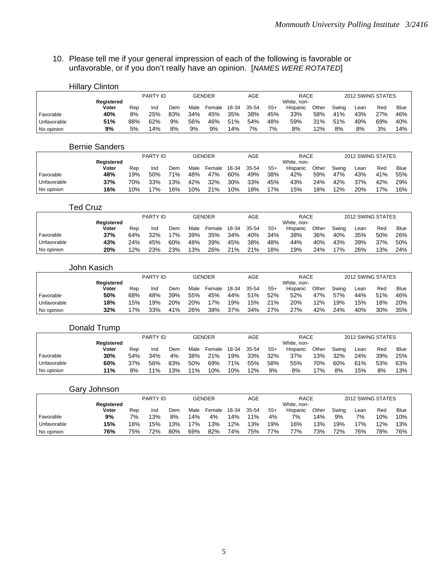### 10. Please tell me if your general impression of each of the following is favorable or unfavorable, or if you don't really have an opinion. [*NAMES WERE ROTATED*]

|             | Hillary Clinton |     |          |     |      |        |       |       |       |             |       |       |      |                   |      |
|-------------|-----------------|-----|----------|-----|------|--------|-------|-------|-------|-------------|-------|-------|------|-------------------|------|
|             |                 |     | PARTY ID |     |      | GENDER |       | AGE   |       | RACE        |       |       |      | 2012 SWING STATES |      |
|             | Registered      |     |          |     |      |        |       |       |       | White, non- |       |       |      |                   |      |
|             | Voter           | Rep | Ind      | Dem | Male | Female | 18-34 | 35-54 | $55+$ | Hispanic    | Other | Swing | Lean | Red               | Blue |
| Favorable   | 40%             | 8%  | 25%      | 83% | 34%  | 45%    | 35%   | 38%   | 45%   | 33%         | 58%   | 41%   | 43%  | 27%               | 46%  |
| Unfavorable | 51%             | 88% | 62%      | 9%  | 56%  | 46%    | 51%   | 54%   | 48%   | 59%         | 31%   | 51%   | 49%  | 69%               | 40%  |
| No opinion  | 9%              | 5%  | 14%      | 8%  | 9%   | 9%     | 14%   | 7%    | 7%    | 8%          | 12%   | 8%    | 8%   | 3%                | 14%  |

#### Bernie Sanders

|             |            |     | PARTY ID |     |      | <b>GENDER</b> |       | AGE   |       | <b>RACE</b> |       |       |      | 2012 SWING STATES |      |
|-------------|------------|-----|----------|-----|------|---------------|-------|-------|-------|-------------|-------|-------|------|-------------------|------|
|             | Registered |     |          |     |      |               |       |       |       | White, non- |       |       |      |                   |      |
|             | Voter      | Rep | Ind      | Dem | Male | Female        | 18-34 | 35-54 | $55+$ | Hispanic    | Other | Swing | Lean | Red               | Blue |
| Favorable   | 48%        | 19% | 50%      | 71% | 48%  | 47%           | 60%   | 49%   | 38%   | 42%         | 59%   | 47%   | 43%  | 41%               | 55%  |
| Unfavorable | 37%        | 70% | 33%      | 13% | 42%  | 32%           | 30%   | 33%   | 45%   | 43%         | 24%   | 42%   | 37%  | 42%               | 29%  |
| No opinion  | 16%        | 10% | 7%       | 16% | 10%  | 21%           | 10%   | 18%   | 17%   | 15%         | 18%   | 2%    | 20%  | 17%               | 16%  |

# Ted Cruz

|             |            |     | PARTY ID |     |      | <b>GENDER</b> |       | AGE   |       | <b>RACE</b> |       |       | 2012 SWING STATES |     |             |
|-------------|------------|-----|----------|-----|------|---------------|-------|-------|-------|-------------|-------|-------|-------------------|-----|-------------|
|             | Registered |     |          |     |      |               |       |       |       | White, non- |       |       |                   |     |             |
|             | Voter      | Rep | Ind      | Dem | Male | Female        | 18-34 | 35-54 | $55+$ | Hispanic    | Other | Swina | ∟ean              | Red | <b>Blue</b> |
| Favorable   | 37%        | 64% | 32%      | 17% | 39%  | 35%           | 34%   | 40%   | 34%   | 38%         | 36%   | 40%   | 35%               | 50% | 26%         |
| Unfavorable | 43%        | 24% | 45%      | 60% | 48%  | 39%           | 45%   | 38%   | 48%   | 44%         | 40%   | 43%   | 39%               | 37% | 50%         |
| No opinion  | 20%        | 12% | 23%      | 23% | 13%  | 26%           | 21%   | 21%   | 18%   | 19%         | 24%   | 17%   | 26%               | 13% | 24%         |

#### John Kasich

|             |            |     | PARTY ID |     |      | <b>GENDER</b> |       | AGE   |       | <b>RACE</b> |       |       | 2012 SWING STATES |     |             |
|-------------|------------|-----|----------|-----|------|---------------|-------|-------|-------|-------------|-------|-------|-------------------|-----|-------------|
|             | Reaistered |     |          |     |      |               |       |       |       | White, non- |       |       |                   |     |             |
|             | Voter      | Rep | Ind      | Dem | Male | Female        | 18-34 | 35-54 | $55+$ | Hispanic    | Other | Swing | Lean              | Red | <b>Blue</b> |
| Favorable   | 50%        | 68% | 48%      | 39% | 55%  | 45%           | 44%   | 51%   | 52%   | 52%         | 47%   | 57%   | 44%               | 51% | 46%         |
| Unfavorable | 18%        | 15% | 19%      | 20% | 20%  | 17%           | 19%   | 15%   | 21%   | 20%         | 12%   | 19%   | 15%               | 18% | 20%         |
| No opinion  | 32%        | 7%  | 33%      | 41% | 26%  | 38%           | 37%   | 34%   | 27%   | 27%         | 42%   | 24%   | 40%               | 30% | 35%         |

# Donald Trump

|             |            |     | PARTY ID |     |      | <b>GENDER</b> |       | AGE   |       | <b>RACE</b> |       |       |      | 2012 SWING STATES |      |
|-------------|------------|-----|----------|-----|------|---------------|-------|-------|-------|-------------|-------|-------|------|-------------------|------|
|             | Reaistered |     |          |     |      |               |       |       |       | White, non- |       |       |      |                   |      |
|             | Voter      | Rep | Ind      | Dem | Male | Female        | 18-34 | 35-54 | $55+$ | Hispanic    | Other | Swing | Lean | Red               | Blue |
| Favorable   | 30%        | 54% | 34%      | 4%  | 38%  | 21%           | 19%   | 33%   | 32%   | 37%         | 13%   | 32%   | 24%  | 39%               | 25%  |
| Unfavorable | 60%        | 37% | 56%      | 83% | 50%  | 69%           | 71%   | 55%   | 58%   | 55%         | 70%   | 60%   | 61%  | 53%               | 63%  |
| No opinion  | 11%        | 8%  | $1\%$    | 13% | 11%  | 10%           | 10%   | 2%    | 9%    | 8%          | 7%    | 8%    | 15%  | 8%                | 13%  |

## Gary Johnson

|             |                   |     | <b>PARTY ID</b> |     |      | GENDER |       | AGE       |       | <b>RACE</b> |       |       | 2012 SWING STATES |        |             |
|-------------|-------------------|-----|-----------------|-----|------|--------|-------|-----------|-------|-------------|-------|-------|-------------------|--------|-------------|
|             | <b>Registered</b> |     |                 |     |      |        |       |           |       | White, non- |       |       |                   |        |             |
|             | Voter             | Rep | Ind             | Dem | Male | Female | 18-34 | $35 - 54$ | $55+$ | Hispanic    | Other | Swing | Lean              | Rec    | <b>Blue</b> |
| Favorable   | 9%                | 7%  | 13%             | 8%  | 14%  | 4%     | 14%   | 11%       | 4%    | 7%          | 14%   | 9%    | 7%                | 10%    | 10%         |
| Unfavorable | 15%               | '8% | 15%             | 3%  | '7%  | 3%     | 2%    | 13%       | 19%   | 16%         | 13%   | 19%   | 17%               | $12\%$ | 13%         |
| No opinion  | 76%               | 75% | 72%             | 80% | 69%  | 82%    | 74%   | 75%       | 77%   | 77%         | 73%   | 72%   | 76%               | 78%    | 76%         |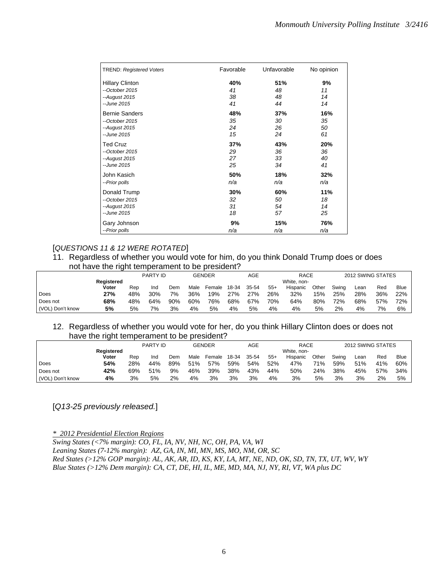| <b>TREND: Registered Voters</b> | Favorable | Unfavorable | No opinion |
|---------------------------------|-----------|-------------|------------|
| <b>Hillary Clinton</b>          | 40%       | 51%         | 9%         |
| --October 2015                  | 41        | 48          | 11         |
| --August 2015                   | 38        | 48          | 14         |
| --June 2015                     | 41        | 44          | 14         |
| <b>Bernie Sanders</b>           | 48%       | 37%         | 16%        |
| $-$ October 2015                | 35        | 30          | 35         |
| --August 2015                   | 24        | 26          | 50         |
| --June 2015                     | 15        | 24          | 61         |
| <b>Ted Cruz</b>                 | 37%       | 43%         | 20%        |
| $-$ October 2015                | 29        | 36          | 36         |
| $-August 2015$                  | 27        | 33          | 40         |
| --June 2015                     | 25        | 34          | 41         |
| John Kasich                     | 50%       | 18%         | 32%        |
| --Prior polls                   | n/a       | n/a         | n/a        |
| Donald Trump                    | 30%       | 60%         | 11%        |
| $-$ October 2015                | 32        | 50          | 18         |
| --August 2015                   | 31        | 54          | 14         |
| --June 2015                     | 18        | 57          | 25         |
| Gary Johnson                    | 9%        | 15%         | 76%        |
| --Prior polls                   | n/a       | n/a         | n/a        |

# [*QUESTIONS 11 & 12 WERE ROTATED*]

### 11. Regardless of whether you would vote for him, do you think Donald Trump does or does not have the right temperament to be president?

|                  |            |     | <b>PARTY ID</b> |     |      | GENDER |       | AGE   |       | <b>RACE</b> |       |       |      | 2012 SWING STATES |             |
|------------------|------------|-----|-----------------|-----|------|--------|-------|-------|-------|-------------|-------|-------|------|-------------------|-------------|
|                  | Registered |     |                 |     |      |        |       |       |       | White, non- |       |       |      |                   |             |
|                  | Voter      | Rep | Ind             | Dem | Male | Female | 18-34 | 35-54 | $55+$ | Hispanic    | Other | Swina | Lean | Red               | <b>Blue</b> |
| Does             | 27%        | 48% | 30%             | 7%  | 36%  | 19%    | 27%   | 27%   | 26%   | 32%         | 15%   | 25%   | 28%  | 36%               | 22%         |
| Does not         | 68%        | 48% | 64%             | 90% | 60%  | 76%    | 68%   | 67%   | 70%   | 64%         | 80%   | 72%   | 68%  | 57%               | 72%         |
| (VOL) Don't know | 5%         | 5%  | 7%              | 3%  | 4%   | 5%     | 4%    | 5%    | 4%    | 4%          | 5%    | 2%    | 4%   | 7%                | 6%          |

### 12. Regardless of whether you would vote for her, do you think Hillary Clinton does or does not have the right temperament to be president?

|                  | Reaistered<br>Voter |     | <b>PARTY ID</b> |     |      | GENDER |       |       |       | <b>RACE</b><br>White, non- |       | 2012 SWING STATES |      |     |             |
|------------------|---------------------|-----|-----------------|-----|------|--------|-------|-------|-------|----------------------------|-------|-------------------|------|-----|-------------|
|                  |                     | Rep | Ind             | Dem | Male | Female | 18-34 | 35-54 | $55+$ | Hispanic                   | Other | Swina             | Lean | Red | <b>Blue</b> |
| Does             | 54%                 | 28% | 44%             | 89% | 51%  | 57%    | 59%   | 54%   | 52%   | 47%                        | 71%   | 59%               | 51%  | 41% | 60%         |
| Does not         | 42%                 | 69% | 51%             | 9%  | 46%  | 39%    | 38%   | 43%   | 44%   | 50%                        | 24%   | 38%               | 45%  | 57% | 34%         |
| (VOL) Don't know | 4%                  | 3%  | 5%              | 2%  | 4%   | 3%     | 3%    | 3%    | 4%    | 3%                         | 5%    | 3%                | 3%   | 2%  | 5%          |

# [*Q13-25 previously released.*]

*\* 2012 Presidential Election Regions* 

*Swing States (<7% margin): CO, FL, IA, NV, NH, NC, OH, PA, VA, WI Leaning States (7-12% margin): AZ, GA, IN, MI, MN, MS, MO, NM, OR, SC Red States (>12% GOP margin): AL, AK, AR, ID, KS, KY, LA, MT, NE, ND, OK, SD, TN, TX, UT, WV, WY Blue States (>12% Dem margin): CA, CT, DE, HI, IL, ME, MD, MA, NJ, NY, RI, VT, WA plus DC*